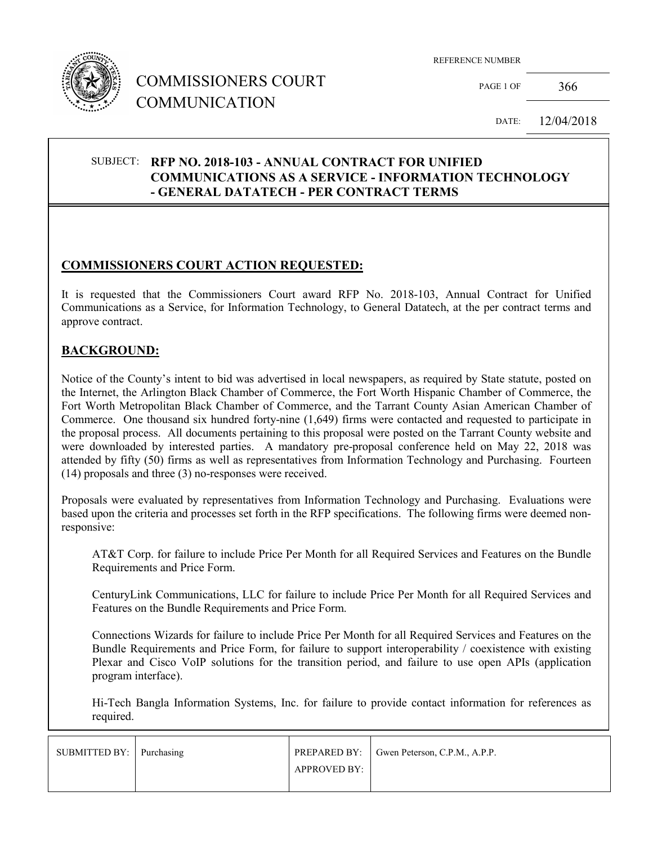

# COMMISSIONERS COURT COMMUNICATION

REFERENCE NUMBER

PAGE 1 OF 366

DATE: 12/04/2018

### SUBJECT: **RFP NO. 2018-103 - ANNUAL CONTRACT FOR UNIFIED COMMUNICATIONS AS A SERVICE - INFORMATION TECHNOLOGY - GENERAL DATATECH - PER CONTRACT TERMS**

## **COMMISSIONERS COURT ACTION REQUESTED:**

It is requested that the Commissioners Court award RFP No. 2018-103, Annual Contract for Unified Communications as a Service, for Information Technology, to General Datatech, at the per contract terms and approve contract.

#### **BACKGROUND:**

Notice of the County's intent to bid was advertised in local newspapers, as required by State statute, posted on the Internet, the Arlington Black Chamber of Commerce, the Fort Worth Hispanic Chamber of Commerce, the Fort Worth Metropolitan Black Chamber of Commerce, and the Tarrant County Asian American Chamber of Commerce. One thousand six hundred forty-nine (1,649) firms were contacted and requested to participate in the proposal process. All documents pertaining to this proposal were posted on the Tarrant County website and were downloaded by interested parties. A mandatory pre-proposal conference held on May 22, 2018 was attended by fifty (50) firms as well as representatives from Information Technology and Purchasing. Fourteen (14) proposals and three (3) no-responses were received.

Proposals were evaluated by representatives from Information Technology and Purchasing. Evaluations were based upon the criteria and processes set forth in the RFP specifications. The following firms were deemed nonresponsive:

AT&T Corp. for failure to include Price Per Month for all Required Services and Features on the Bundle Requirements and Price Form.

CenturyLink Communications, LLC for failure to include Price Per Month for all Required Services and Features on the Bundle Requirements and Price Form.

Connections Wizards for failure to include Price Per Month for all Required Services and Features on the Bundle Requirements and Price Form, for failure to support interoperability / coexistence with existing Plexar and Cisco VoIP solutions for the transition period, and failure to use open APIs (application program interface).

Hi-Tech Bangla Information Systems, Inc. for failure to provide contact information for references as required.

| SUBMITTED BY: Purchasing |                     | PREPARED BY: Gwen Peterson, C.P.M., A.P.P. |
|--------------------------|---------------------|--------------------------------------------|
|                          | <b>APPROVED BY:</b> |                                            |
|                          |                     |                                            |